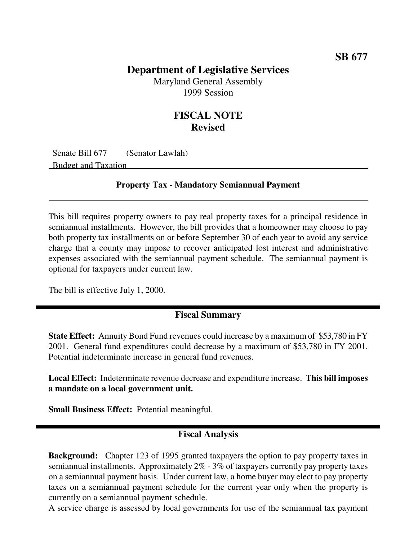# **Department of Legislative Services**

Maryland General Assembly 1999 Session

# **FISCAL NOTE Revised**

Senate Bill 677 (Senator Lawlah) Budget and Taxation

#### **Property Tax - Mandatory Semiannual Payment**

This bill requires property owners to pay real property taxes for a principal residence in semiannual installments. However, the bill provides that a homeowner may choose to pay both property tax installments on or before September 30 of each year to avoid any service charge that a county may impose to recover anticipated lost interest and administrative expenses associated with the semiannual payment schedule. The semiannual payment is optional for taxpayers under current law.

The bill is effective July 1, 2000.

#### **Fiscal Summary**

**State Effect:** Annuity Bond Fund revenues could increase by a maximum of \$53,780 in FY 2001. General fund expenditures could decrease by a maximum of \$53,780 in FY 2001. Potential indeterminate increase in general fund revenues.

**Local Effect:** Indeterminate revenue decrease and expenditure increase. **This bill imposes a mandate on a local government unit.**

**Small Business Effect:** Potential meaningful.

#### **Fiscal Analysis**

**Background:** Chapter 123 of 1995 granted taxpayers the option to pay property taxes in semiannual installments. Approximately 2% - 3% of taxpayers currently pay property taxes on a semiannual payment basis. Under current law, a home buyer may elect to pay property taxes on a semiannual payment schedule for the current year only when the property is currently on a semiannual payment schedule.

A service charge is assessed by local governments for use of the semiannual tax payment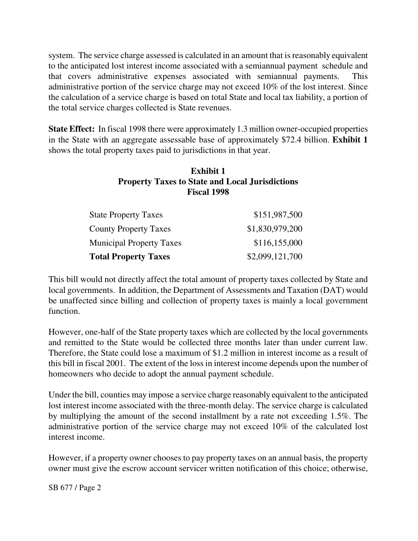system. The service charge assessed is calculated in an amount that is reasonably equivalent to the anticipated lost interest income associated with a semiannual payment schedule and that covers administrative expenses associated with semiannual payments. This administrative portion of the service charge may not exceed 10% of the lost interest. Since the calculation of a service charge is based on total State and local tax liability, a portion of the total service charges collected is State revenues.

**State Effect:** In fiscal 1998 there were approximately 1.3 million owner-occupied properties in the State with an aggregate assessable base of approximately \$72.4 billion. **Exhibit 1** shows the total property taxes paid to jurisdictions in that year.

### **Exhibit 1 Property Taxes to State and Local Jurisdictions Fiscal 1998**

| <b>State Property Taxes</b>     | \$151,987,500   |
|---------------------------------|-----------------|
| <b>County Property Taxes</b>    | \$1,830,979,200 |
| <b>Municipal Property Taxes</b> | \$116,155,000   |
| <b>Total Property Taxes</b>     | \$2,099,121,700 |

This bill would not directly affect the total amount of property taxes collected by State and local governments. In addition, the Department of Assessments and Taxation (DAT) would be unaffected since billing and collection of property taxes is mainly a local government function.

However, one-half of the State property taxes which are collected by the local governments and remitted to the State would be collected three months later than under current law. Therefore, the State could lose a maximum of \$1.2 million in interest income as a result of this bill in fiscal 2001. The extent of the lossin interest income depends upon the number of homeowners who decide to adopt the annual payment schedule.

Under the bill, counties may impose a service charge reasonably equivalent to the anticipated lost interest income associated with the three-month delay. The service charge is calculated by multiplying the amount of the second installment by a rate not exceeding 1.5%. The administrative portion of the service charge may not exceed 10% of the calculated lost interest income.

However, if a property owner chooses to pay property taxes on an annual basis, the property owner must give the escrow account servicer written notification of this choice; otherwise,

SB 677 / Page 2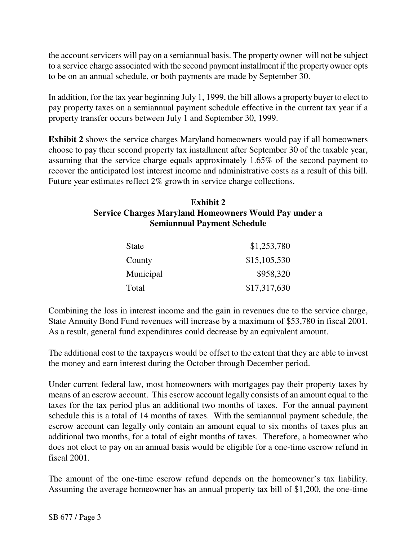the account servicers will pay on a semiannual basis. The property owner will not be subject to a service charge associated with the second payment installment if the property owner opts to be on an annual schedule, or both payments are made by September 30.

In addition, for the tax year beginning July 1, 1999, the bill allows a property buyer to elect to pay property taxes on a semiannual payment schedule effective in the current tax year if a property transfer occurs between July 1 and September 30, 1999.

**Exhibit 2** shows the service charges Maryland homeowners would pay if all homeowners choose to pay their second property tax installment after September 30 of the taxable year, assuming that the service charge equals approximately 1.65% of the second payment to recover the anticipated lost interest income and administrative costs as a result of this bill. Future year estimates reflect 2% growth in service charge collections.

### **Exhibit 2 Service Charges Maryland Homeowners Would Pay under a Semiannual Payment Schedule**

| State     | \$1,253,780  |
|-----------|--------------|
| County    | \$15,105,530 |
| Municipal | \$958,320    |
| Total     | \$17,317,630 |

Combining the loss in interest income and the gain in revenues due to the service charge, State Annuity Bond Fund revenues will increase by a maximum of \$53,780 in fiscal 2001. As a result, general fund expenditures could decrease by an equivalent amount.

The additional cost to the taxpayers would be offset to the extent that they are able to invest the money and earn interest during the October through December period.

Under current federal law, most homeowners with mortgages pay their property taxes by means of an escrow account. This escrow account legally consists of an amount equal to the taxes for the tax period plus an additional two months of taxes. For the annual payment schedule this is a total of 14 months of taxes. With the semiannual payment schedule, the escrow account can legally only contain an amount equal to six months of taxes plus an additional two months, for a total of eight months of taxes. Therefore, a homeowner who does not elect to pay on an annual basis would be eligible for a one-time escrow refund in fiscal 2001.

The amount of the one-time escrow refund depends on the homeowner's tax liability. Assuming the average homeowner has an annual property tax bill of \$1,200, the one-time